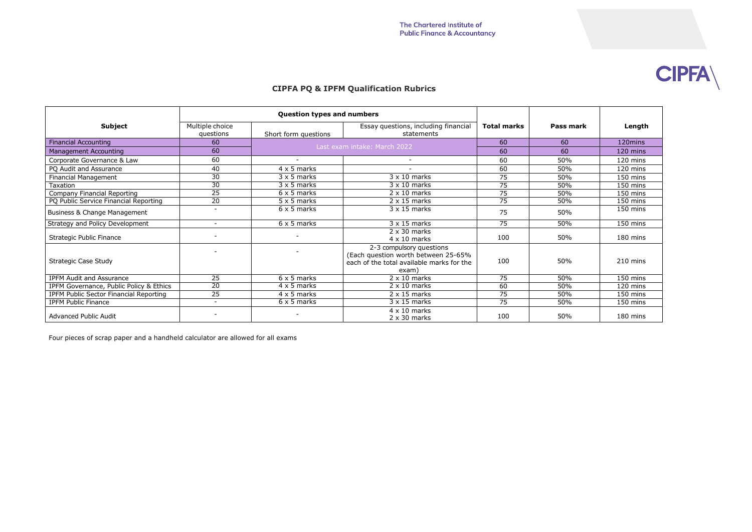## **CIPFA PQ & IPFM Qualification Rubrics**

| <b>Subject</b>                          | Multiple choice<br>questions | Short form questions         | Essay questions, including financial<br>statements                                                                    | <b>Total marks</b> | Pass mark | Length   |
|-----------------------------------------|------------------------------|------------------------------|-----------------------------------------------------------------------------------------------------------------------|--------------------|-----------|----------|
| <b>Financial Accounting</b>             | 60                           | Last exam intake: March 2022 |                                                                                                                       | 60                 | 60        | 120mins  |
| <b>Management Accounting</b>            | 60                           |                              |                                                                                                                       | 60                 | 60        | 120 mins |
| Corporate Governance & Law              | 60                           |                              |                                                                                                                       | 60                 | 50%       | 120 mins |
| PQ Audit and Assurance                  | 40                           | $4 \times 5$ marks           |                                                                                                                       | 60                 | 50%       | 120 mins |
| <b>Financial Management</b>             | $\overline{30}$              | $3 \times 5$ marks           | $3 \times 10$ marks                                                                                                   | 75                 | 50%       | 150 mins |
| <b>Taxation</b>                         | $\overline{30}$              | $3 \times 5$ marks           | $3 \times 10$ marks                                                                                                   | 75                 | 50%       | 150 mins |
| Company Financial Reporting             | 25                           | $6 \times 5$ marks           | $2 \times 10$ marks                                                                                                   | 75                 | 50%       | 150 mins |
| PQ Public Service Financial Reporting   | $\overline{20}$              | $5 \times 5$ marks           | $2 \times 15$ marks                                                                                                   | 75                 | 50%       | 150 mins |
| Business & Change Management            | $\overline{\phantom{a}}$     | $6 \times 5$ marks           | $3 \times 15$ marks                                                                                                   | 75                 | 50%       | 150 mins |
| Strategy and Policy Development         | $\sim$                       | $6 \times 5$ marks           | $3 \times 15$ marks                                                                                                   | 75                 | 50%       | 150 mins |
| <b>Strategic Public Finance</b>         |                              | $\overline{\phantom{a}}$     | $2 \times 30$ marks<br>$4 \times 10$ marks                                                                            | 100                | 50%       | 180 mins |
| <b>Strategic Case Study</b>             |                              |                              | 2-3 compulsory questions<br>(Each question worth between 25-65%<br>each of the total available marks for the<br>exam) | 100                | 50%       | 210 mins |
| <b>IPFM Audit and Assurance</b>         | $\overline{25}$              | $6 \times 5$ marks           | $2 \times 10$ marks                                                                                                   | 75                 | 50%       | 150 mins |
| IPFM Governance, Public Policy & Ethics | $\overline{20}$              | $4 \times 5$ marks           | $2 \times 10$ marks                                                                                                   | 60                 | 50%       | 120 mins |
| IPFM Public Sector Financial Reporting  | $\overline{25}$              | $4 \times 5$ marks           | $2 \times 15$ marks                                                                                                   | 75                 | 50%       | 150 mins |
| <b>IPFM Public Finance</b>              | $\sim$                       | $6 \times 5$ marks           | $3 \times 15$ marks                                                                                                   | $\overline{75}$    | 50%       | 150 mins |
| <b>Advanced Public Audit</b>            | $\overline{\phantom{a}}$     | $\overline{\phantom{a}}$     | $4 \times 10$ marks<br>$2 \times 30$ marks                                                                            | 100                | 50%       | 180 mins |

Four pieces of scrap paper and a handheld calculator are allowed for all exams